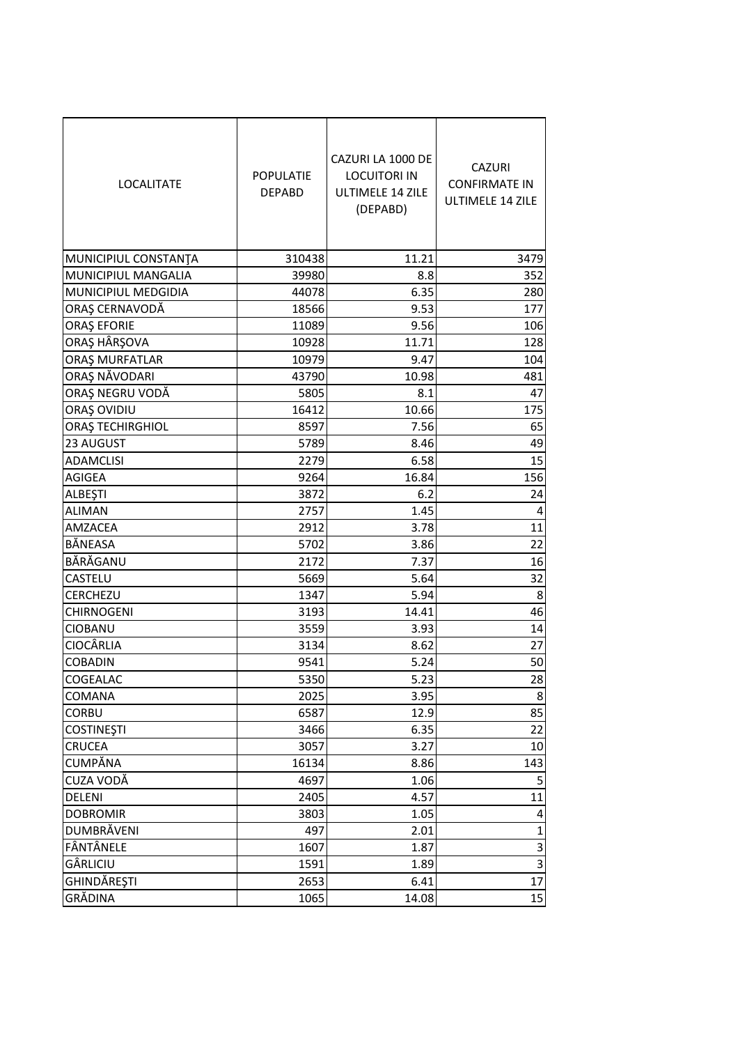| <b>LOCALITATE</b>                           | <b>POPULATIE</b><br><b>DEPABD</b> | CAZURI LA 1000 DE<br><b>LOCUITORI IN</b><br><b>ULTIMELE 14 ZILE</b><br>(DEPABD) | <b>CAZURI</b><br><b>CONFIRMATE IN</b><br><b>ULTIMELE 14 ZILE</b> |
|---------------------------------------------|-----------------------------------|---------------------------------------------------------------------------------|------------------------------------------------------------------|
|                                             | 310438                            | 11.21                                                                           | 3479                                                             |
| MUNICIPIUL CONSTANTA<br>MUNICIPIUL MANGALIA | 39980                             | 8.8                                                                             | 352                                                              |
| <b>MUNICIPIUL MEDGIDIA</b>                  | 44078                             | 6.35                                                                            | 280                                                              |
| ORAȘ CERNAVODĂ                              | 18566                             | 9.53                                                                            | 177                                                              |
| <b>ORAŞ EFORIE</b>                          | 11089                             | 9.56                                                                            | 106                                                              |
| ORAȘ HÂRȘOVA                                | 10928                             | 11.71                                                                           | 128                                                              |
| ORAȘ MURFATLAR                              | 10979                             | 9.47                                                                            | 104                                                              |
| ORAȘ NĂVODARI                               | 43790                             | 10.98                                                                           | 481                                                              |
| ORAȘ NEGRU VODĂ                             | 5805                              | 8.1                                                                             | 47                                                               |
| ORAŞ OVIDIU                                 | 16412                             | 10.66                                                                           | 175                                                              |
| ORAȘ TECHIRGHIOL                            | 8597                              | 7.56                                                                            | 65                                                               |
| 23 AUGUST                                   | 5789                              | 8.46                                                                            | 49                                                               |
| <b>ADAMCLISI</b>                            | 2279                              | 6.58                                                                            | 15                                                               |
| <b>AGIGEA</b>                               | 9264                              | 16.84                                                                           | 156                                                              |
| <b>ALBEŞTI</b>                              | 3872                              | 6.2                                                                             | 24                                                               |
| <b>ALIMAN</b>                               | 2757                              | 1.45                                                                            | 4                                                                |
| <b>AMZACEA</b>                              | 2912                              | 3.78                                                                            | 11                                                               |
| BĂNEASA                                     | 5702                              | 3.86                                                                            | 22                                                               |
| BĂRĂGANU                                    | 2172                              | 7.37                                                                            | 16                                                               |
| CASTELU                                     | 5669                              | 5.64                                                                            | 32                                                               |
| <b>CERCHEZU</b>                             | 1347                              | 5.94                                                                            | 8                                                                |
| <b>CHIRNOGENI</b>                           | 3193                              | 14.41                                                                           | 46                                                               |
| <b>CIOBANU</b>                              | 3559                              | 3.93                                                                            | 14                                                               |
| <b>CIOCÂRLIA</b>                            | 3134                              | 8.62                                                                            | 27                                                               |
| <b>COBADIN</b>                              | 9541                              | 5.24                                                                            | 50                                                               |
| COGEALAC                                    | 5350                              | 5.23                                                                            | 28                                                               |
| <b>COMANA</b>                               | 2025                              | 3.95                                                                            | 8                                                                |
| <b>CORBU</b>                                | 6587                              | 12.9                                                                            | 85                                                               |
| <b>COSTINESTI</b>                           | 3466                              | 6.35                                                                            | 22                                                               |
| <b>CRUCEA</b>                               | 3057                              | 3.27                                                                            | 10                                                               |
| <b>CUMPĂNA</b>                              | 16134                             | 8.86                                                                            | 143                                                              |
| CUZA VODĂ                                   | 4697                              | 1.06                                                                            | 5                                                                |
| <b>DELENI</b>                               | 2405                              | 4.57                                                                            | 11                                                               |
| <b>DOBROMIR</b>                             | 3803                              | 1.05                                                                            | 4                                                                |
| <b>DUMBRĂVENI</b>                           | 497                               | 2.01                                                                            | $\mathbf{1}$                                                     |
| FÂNTÂNELE                                   | 1607                              | 1.87                                                                            | 3                                                                |
| GÂRLICIU                                    | 1591                              | 1.89                                                                            | 3                                                                |
| GHINDĂREȘTI                                 | 2653                              | 6.41                                                                            | 17                                                               |
| GRĂDINA                                     | 1065                              | 14.08                                                                           | 15                                                               |